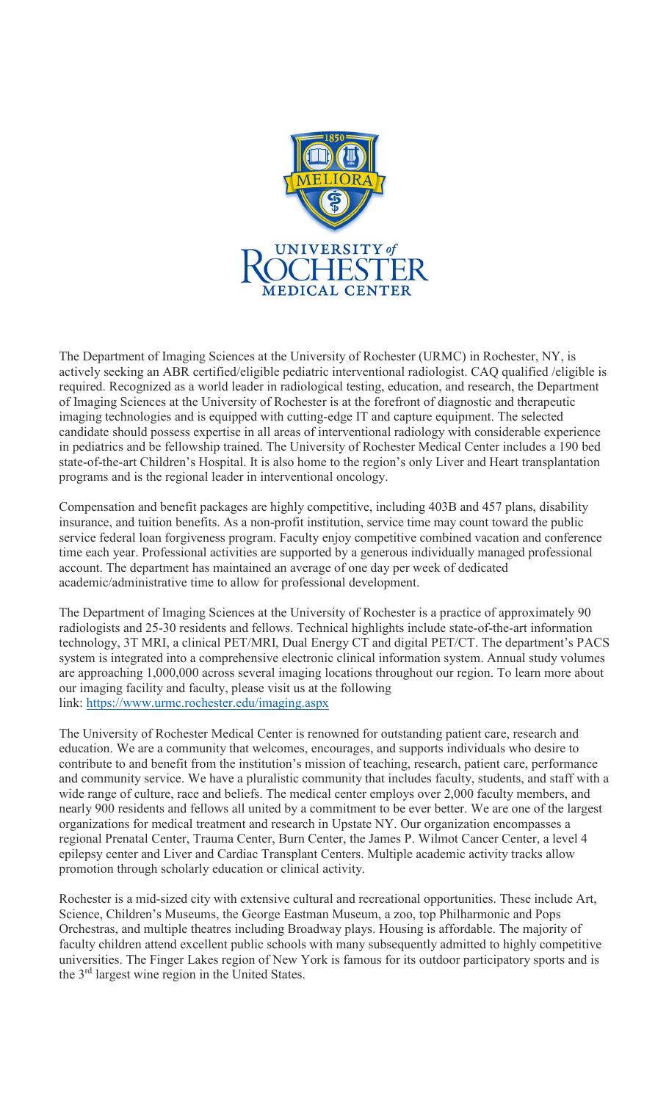

The Department of Imaging Sciences at the University of Rochester (URMC) in Rochester, NY, is actively seeking an ABR certified/eligible pediatric interventional radiologist. CAQ qualified /eligible is required. Recognized as a world leader in radiological testing, education, and research, the Department of Imaging Sciences at the University of Rochester is at the forefront of diagnostic and therapeutic imaging technologies and is equipped with cutting-edge IT and capture equipment. The selected candidate should possess expertise in all areas of interventional radiology with considerable experience in pediatrics and be fellowship trained. The University of Rochester Medical Center includes a 190 bed state-of-the-art Children's Hospital. It is also home to the region's only Liver and Heart transplantation programs and is the regional leader in interventional oncology.

Compensation and benefit packages are highly competitive, including 403B and 457 plans, disability insurance, and tuition benefits. As a non-profit institution, service time may count toward the public service federal loan forgiveness program. Faculty enjoy competitive combined vacation and conference time each year. Professional activities are supported by a generous individually managed professional account. The department has maintained an average of one day per week of dedicated academic/administrative time to allow for professional development.

The Department of Imaging Sciences at the University of Rochester is a practice of approximately 90 radiologists and 25-30 residents and fellows. Technical highlights include state-of-the-art information technology, 3T MRI, a clinical PET/MRI, Dual Energy CT and digital PET/CT. The department's PACS system is integrated into a comprehensive electronic clinical information system. Annual study volumes are approaching 1,000,000 across several imaging locations throughout our region. To learn more about our imaging facility and faculty, please visit us at the following link: https://www.urmc.rochester.edu/imaging.aspx

The University of Rochester Medical Center is renowned for outstanding patient care, research and education. We are a community that welcomes, encourages, and supports individuals who desire to contribute to and benefit from the institution's mission of teaching, research, patient care, performance and community service. We have a pluralistic community that includes faculty, students, and staff with a wide range of culture, race and beliefs. The medical center employs over 2,000 faculty members, and nearly 900 residents and fellows all united by a commitment to be ever better. We are one of the largest organizations for medical treatment and research in Upstate NY. Our organization encompasses a regional Prenatal Center, Trauma Center, Burn Center, the James P. Wilmot Cancer Center, a level 4 epilepsy center and Liver and Cardiac Transplant Centers. Multiple academic activity tracks allow promotion through scholarly education or clinical activity.

Rochester is a mid-sized city with extensive cultural and recreational opportunities. These include Art, Science, Children's Museums, the George Eastman Museum, a zoo, top Philharmonic and Pops Orchestras, and multiple theatres including Broadway plays. Housing is affordable. The majority of faculty children attend excellent public schools with many subsequently admitted to highly competitive universities. The Finger Lakes region of New York is famous for its outdoor participatory sports and is the 3rd largest wine region in the United States.